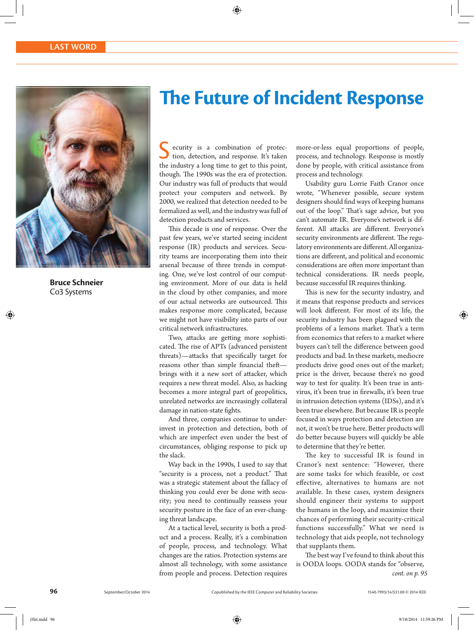

**Bruce Schneier**  Co3 Systems

# **The Future of Incident Response**

Security is a combination of protection, detection, and response. It's taken the industry a long time to get to this point, though. The 1990s was the era of protection. Our industry was full of products that would protect your computers and network. By 2000, we realized that detection needed to be formalized as well, and the industry was full of detection products and services.

This decade is one of response. Over the past few years, we've started seeing incident response (IR) products and services. Security teams are incorporating them into their arsenal because of three trends in computing. One, we've lost control of our computing environment. More of our data is held in the cloud by other companies, and more of our actual networks are outsourced. This makes response more complicated, because we might not have visibility into parts of our critical network infrastructures.

Two, attacks are getting more sophisticated. The rise of APTs (advanced persistent threats)—attacks that specifically target for reasons other than simple financial theft brings with it a new sort of attacker, which requires a new threat model. Also, as hacking becomes a more integral part of geopolitics, unrelated networks are increasingly collateral damage in nation-state fights.

And three, companies continue to underinvest in protection and detection, both of which are imperfect even under the best of circumstances, obliging response to pick up the slack.

Way back in the 1990s, I used to say that "security is a process, not a product." That was a strategic statement about the fallacy of thinking you could ever be done with security; you need to continually reassess your security posture in the face of an ever-changing threat landscape.

At a tactical level, security is both a product and a process. Really, it's a combination of people, process, and technology. What changes are the ratios. Protection systems are almost all technology, with some assistance from people and process. Detection requires

more-or-less equal proportions of people, process, and technology. Response is mostly done by people, with critical assistance from process and technology.

Usability guru Lorrie Faith Cranor once wrote, "Whenever possible, secure system designers should find ways of keeping humans out of the loop." That's sage advice, but you can't automate IR. Everyone's network is different. All attacks are different. Everyone's security environments are different. The regulatory environments are different. All organizations are different, and political and economic considerations are often more important than technical considerations. IR needs people, because successful IR requires thinking.

This is new for the security industry, and it means that response products and services will look different. For most of its life, the security industry has been plagued with the problems of a lemons market. That's a term from economics that refers to a market where buyers can't tell the difference between good products and bad. In these markets, mediocre products drive good ones out of the market; price is the driver, because there's no good way to test for quality. It's been true in antivirus, it's been true in firewalls, it's been true in intrusion detection systems (IDSs), and it's been true elsewhere. But because IR is people focused in ways protection and detection are not, it won't be true here. Better products will do better because buyers will quickly be able to determine that they're better.

The key to successful IR is found in Cranor's next sentence: "However, there are some tasks for which feasible, or cost effective, alternatives to humans are not available. In these cases, system designers should engineer their systems to support the humans in the loop, and maximize their chances of performing their security-critical functions successfully." What we need is technology that aids people, not technology that supplants them.

The best way I've found to think about this is OODA loops. OODA stands for "observe, *cont. on p. 95*